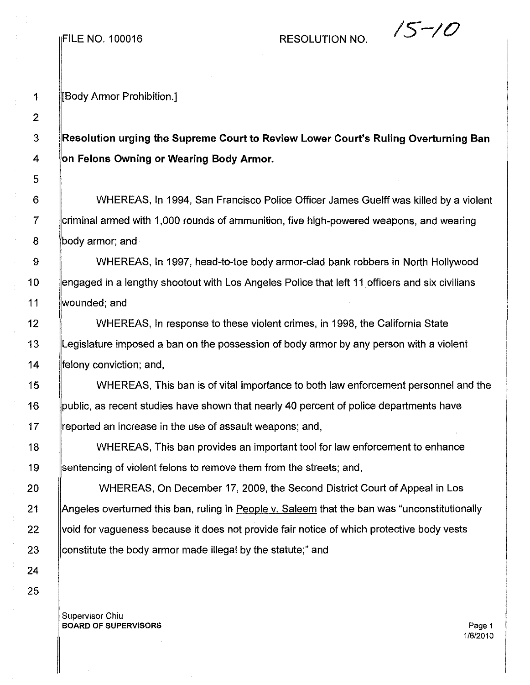RESOLUTION NO.  $\sqrt{5-\ell}$ 

1 [Body Armor Prohibition.]

## 3 **Resolution urging the Supreme Court to Review Lower Court's Ruling Overturning Ban** 4 **on Felons Owning or Wearing Body** Armor.

6 WHEREAS, **In** 1994, San Francisco Police Officer James Guelff was killed by a violent 7 criminal armed with 1,000 rounds of ammunition, five high-powered weapons, and wearing 8 **body armor**; and

9 WHEREAS, In 1997, head-to-toe body armor-clad bank robbers in North Hollywood 10 engaged in a lengthy shootout with Los Angeles Police that left 11 officers and six civilians 11 wounded; and

12 WHEREAS, In response to these violent crimes, in 1998, the California State 13 Legislature imposed a ban on the possession of body armor by any person with a violent 14 **felony conviction; and,** 

15 WHEREAS, This ban is of vital importance to both law enforcement personnel and the 16 public, as recent studies have shown that nearly 40 percent of police departments have 17 Freported an increase in the use of assault weapons; and,

18 | WHEREAS, This ban provides an important tool for law enforcement to enhance 19 Sentencing of violent felons to remove them from the streets; and,

20 WHEREAS, On December 17, 2009, the Second District Court of Appeal in Los 21 Angeles overturned this ban, ruling in People v. Saleem that the ban was "unconstitutionally 22 void for vagueness because it does not provide fair notice of which protective body vests 23 Constitute the body armor made illegal by the statute;" and

Supervisor Chiu BOARD OF SUPERVISORS **Page 1**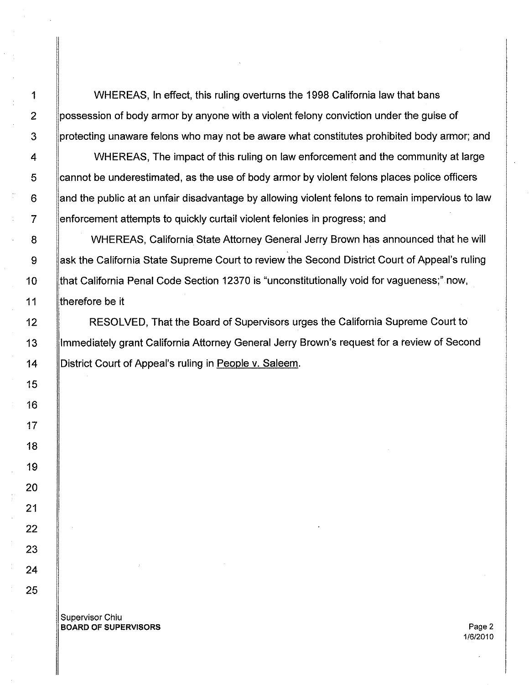1 WHEREAS, In effect, this ruling overturns the 1998 California law that bans 2 possession of body armor by anyone with a violent felony conviction under the guise of 3 protecting unaware felons who may not be aware what constitutes prohibited body armor; and

4 | WHEREAS, The impact of this ruling on law enforcement and the community at large 5 cannot be underestimated, as the use of body armor by violent felons places police officers 6 and the public at an unfair disadvantage by allowing violent felons to remain impervious to law 7 enforcement attempts to quickly curtail violent felonies in progress; and

8 WHEREAS, California State Attorney General Jerry Brown has announced that he will 9 Ask the California State Supreme Court to review the Second District Court of Appeal's ruling 10 | that California Penal Code Section 12370 is "unconstitutionally void for vagueness;" now, 11 **therefore be it** 

12 **RESOLVED, That the Board of Supervisors urges the California Supreme Court to** 13 Immediately grant California Attorney General Jerry Brown's request for a review of Second 14 | District Court of Appeal's ruling in People v. Saleem.

Supervisor Chiu **BOARD OF SUPERVISORS** Page 2

1/6/2010